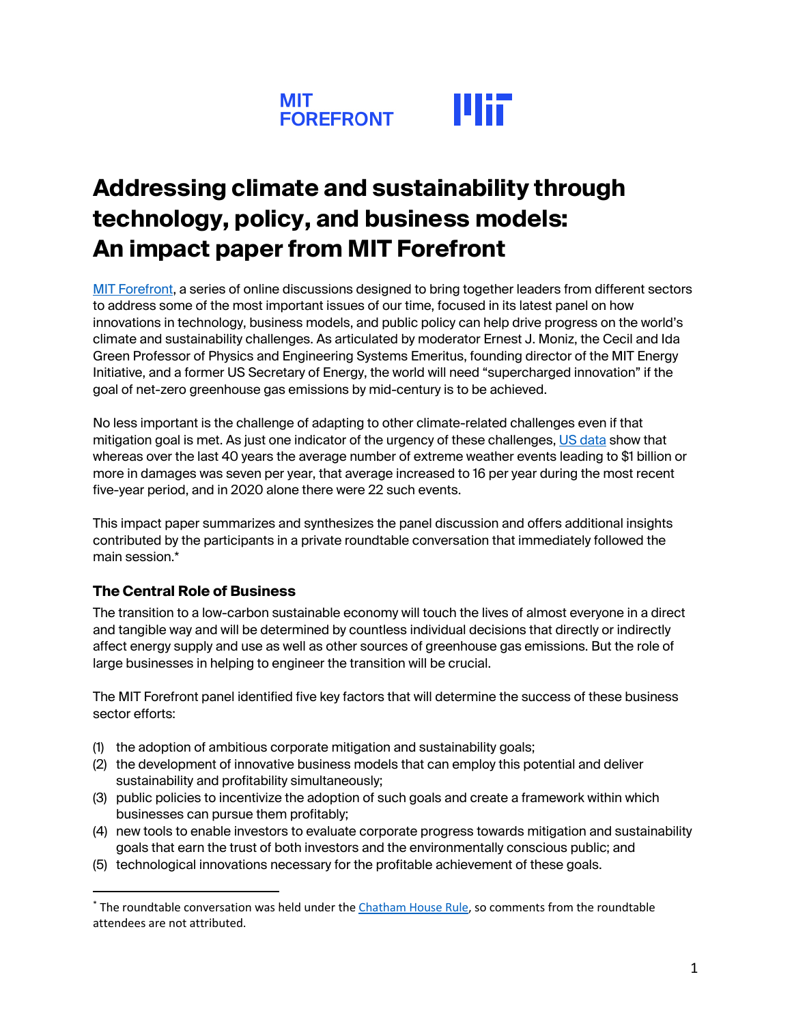

# **Addressing climate and sustainability through technology, policy, and business models: An impact paper from MIT Forefront**

[MIT Forefront,](https://forefront.mit.edu) a series of online discussions designed to bring together leaders from different sectors to address some of the most important issues of our time, focused in its latest panel on how innovations in technology, business models, and public policy can help drive progress on the world's climate and sustainability challenges. As articulated by moderator Ernest J. Moniz, the Cecil and Ida Green Professor of Physics and Engineering Systems Emeritus, founding director of the MIT Energy Initiative, and a former US Secretary of Energy, the world will need "supercharged innovation" if the goal of net-zero greenhouse gas emissions by mid-century is to be achieved.

No less important is the challenge of adapting to other climate-related challenges even if that mitigation goal is met. As just one indicator of the urgency of these challenges, [US data](https://www.ncdc.noaa.gov/billions/) show that whereas over the last 40 years the average number of extreme weather events leading to \$1 billion or more in damages was seven per year, that average increased to 16 per year during the most recent five-year period, and in 2020 alone there were 22 such events.

This impact paper summarizes and synthesizes the panel discussion and offers additional insights contributed by the participants in a private roundtable conversation that immediately followed the main session.\*

### **The Central Role of Business**

The transition to a low-carbon sustainable economy will touch the lives of almost everyone in a direct and tangible way and will be determined by countless individual decisions that directly or indirectly affect energy supply and use as well as other sources of greenhouse gas emissions. But the role of large businesses in helping to engineer the transition will be crucial.

The MIT Forefront panel identified five key factors that will determine the success of these business sector efforts:

- (1) the adoption of ambitious corporate mitigation and sustainability goals;
- (2) the development of innovative business models that can employ this potential and deliver sustainability and profitability simultaneously;
- (3) public policies to incentivize the adoption of such goals and create a framework within which businesses can pursue them profitably;
- (4) new tools to enable investors to evaluate corporate progress towards mitigation and sustainability goals that earn the trust of both investors and the environmentally conscious public; and
- (5) technological innovations necessary for the profitable achievement of these goals.

<sup>\*</sup> The roundtable conversation was held under the *Chatham House Rule*, so comments from the roundtable attendees are not attributed.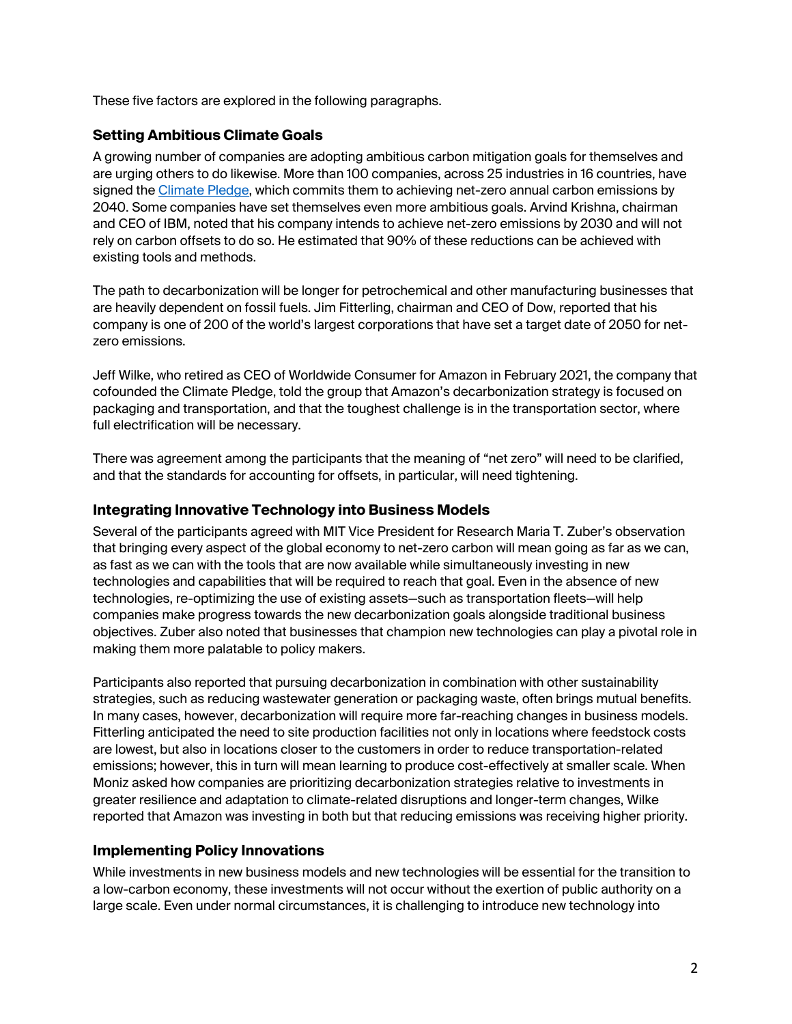These five factors are explored in the following paragraphs.

### **Setting Ambitious Climate Goals**

A growing number of companies are adopting ambitious carbon mitigation goals for themselves and are urging others to do likewise. More than 100 companies, across 25 industries in 16 countries, have signed the [Climate Pledge,](https://www.theclimatepledge.com) which commits them to achieving net-zero annual carbon emissions by 2040. Some companies have set themselves even more ambitious goals. Arvind Krishna, chairman and CEO of IBM, noted that his company intends to achieve net-zero emissions by 2030 and will not rely on carbon offsets to do so. He estimated that 90% of these reductions can be achieved with existing tools and methods.

The path to decarbonization will be longer for petrochemical and other manufacturing businesses that are heavily dependent on fossil fuels. Jim Fitterling, chairman and CEO of Dow, reported that his company is one of 200 of the world's largest corporations that have set a target date of 2050 for netzero emissions.

Jeff Wilke, who retired as CEO of Worldwide Consumer for Amazon in February 2021, the company that cofounded the Climate Pledge, told the group that Amazon's decarbonization strategy is focused on packaging and transportation, and that the toughest challenge is in the transportation sector, where full electrification will be necessary.

There was agreement among the participants that the meaning of "net zero" will need to be clarified, and that the standards for accounting for offsets, in particular, will need tightening.

### **Integrating Innovative Technology into Business Models**

Several of the participants agreed with MIT Vice President for Research Maria T. Zuber's observation that bringing every aspect of the global economy to net-zero carbon will mean going as far as we can, as fast as we can with the tools that are now available while simultaneously investing in new technologies and capabilities that will be required to reach that goal. Even in the absence of new technologies, re-optimizing the use of existing assets—such as transportation fleets—will help companies make progress towards the new decarbonization goals alongside traditional business objectives. Zuber also noted that businesses that champion new technologies can play a pivotal role in making them more palatable to policy makers.

Participants also reported that pursuing decarbonization in combination with other sustainability strategies, such as reducing wastewater generation or packaging waste, often brings mutual benefits. In many cases, however, decarbonization will require more far-reaching changes in business models. Fitterling anticipated the need to site production facilities not only in locations where feedstock costs are lowest, but also in locations closer to the customers in order to reduce transportation-related emissions; however, this in turn will mean learning to produce cost-effectively at smaller scale. When Moniz asked how companies are prioritizing decarbonization strategies relative to investments in greater resilience and adaptation to climate-related disruptions and longer-term changes, Wilke reported that Amazon was investing in both but that reducing emissions was receiving higher priority.

### **Implementing Policy Innovations**

While investments in new business models and new technologies will be essential for the transition to a low-carbon economy, these investments will not occur without the exertion of public authority on a large scale. Even under normal circumstances, it is challenging to introduce new technology into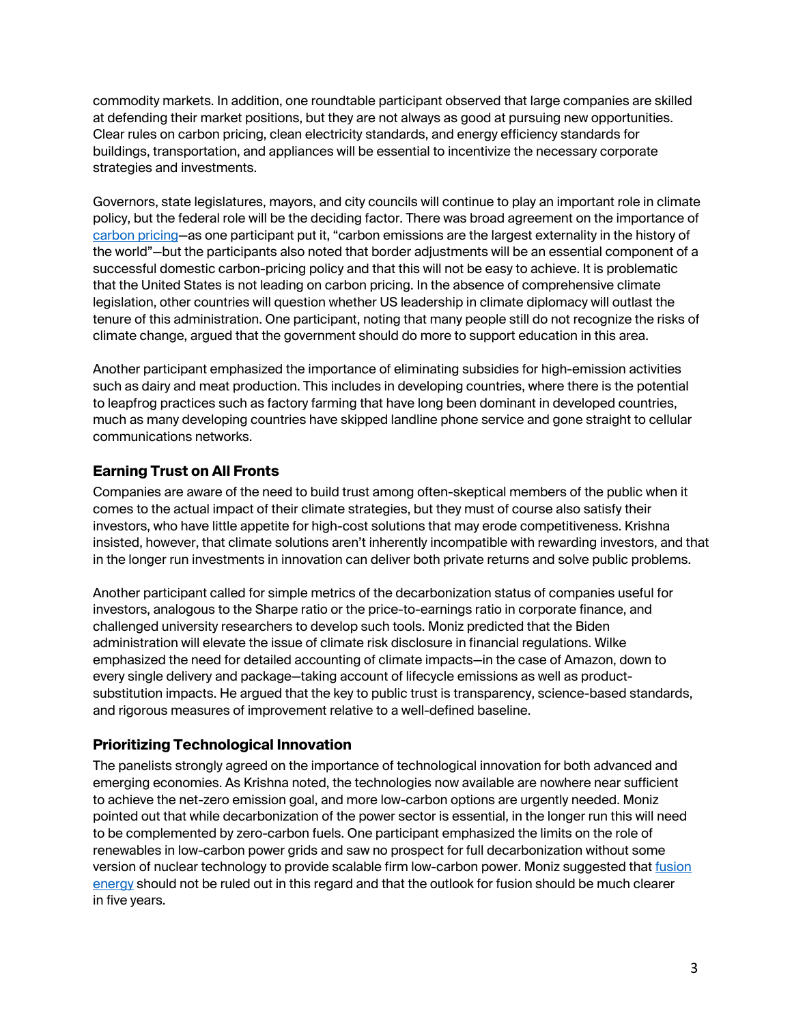commodity markets. In addition, one roundtable participant observed that large companies are skilled at defending their market positions, but they are not always as good at pursuing new opportunities. Clear rules on carbon pricing, clean electricity standards, and energy efficiency standards for buildings, transportation, and appliances will be essential to incentivize the necessary corporate strategies and investments.

Governors, state legislatures, mayors, and city councils will continue to play an important role in climate policy, but the federal role will be the deciding factor. There was broad agreement on the importance of [carbon pricing—](https://climate.mit.edu/explainers/carbon-pricing)as one participant put it, "carbon emissions are the largest externality in the history of the world"—but the participants also noted that border adjustments will be an essential component of a successful domestic carbon-pricing policy and that this will not be easy to achieve. It is problematic that the United States is not leading on carbon pricing. In the absence of comprehensive climate legislation, other countries will question whether US leadership in climate diplomacy will outlast the tenure of this administration. One participant, noting that many people still do not recognize the risks of climate change, argued that the government should do more to support education in this area.

Another participant emphasized the importance of eliminating subsidies for high-emission activities such as dairy and meat production. This includes in developing countries, where there is the potential to leapfrog practices such as factory farming that have long been dominant in developed countries, much as many developing countries have skipped landline phone service and gone straight to cellular communications networks.

# **Earning Trust on All Fronts**

Companies are aware of the need to build trust among often-skeptical members of the public when it comes to the actual impact of their climate strategies, but they must of course also satisfy their investors, who have little appetite for high-cost solutions that may erode competitiveness. Krishna insisted, however, that climate solutions aren't inherently incompatible with rewarding investors, and that in the longer run investments in innovation can deliver both private returns and solve public problems.

Another participant called for simple metrics of the decarbonization status of companies useful for investors, analogous to the Sharpe ratio or the price-to-earnings ratio in corporate finance, and challenged university researchers to develop such tools. Moniz predicted that the Biden administration will elevate the issue of climate risk disclosure in financial regulations. Wilke emphasized the need for detailed accounting of climate impacts—in the case of Amazon, down to every single delivery and package—taking account of lifecycle emissions as well as productsubstitution impacts. He argued that the key to public trust is transparency, science-based standards, and rigorous measures of improvement relative to a well-defined baseline.

# **Prioritizing Technological Innovation**

The panelists strongly agreed on the importance of technological innovation for both advanced and emerging economies. As Krishna noted, the technologies now available are nowhere near sufficient to achieve the net-zero emission goal, and more low-carbon options are urgently needed. Moniz pointed out that while decarbonization of the power sector is essential, in the longer run this will need to be complemented by zero-carbon fuels. One participant emphasized the limits on the role of renewables in low-carbon power grids and saw no prospect for full decarbonization without some version of nuclear technology to provide scalable firm low-carbon power. Moniz suggested that fusion [energy](https://news.mit.edu/2020/physics-fusion-studies-0929) should not be ruled out in this regard and that the outlook for fusion should be much clearer in five years.